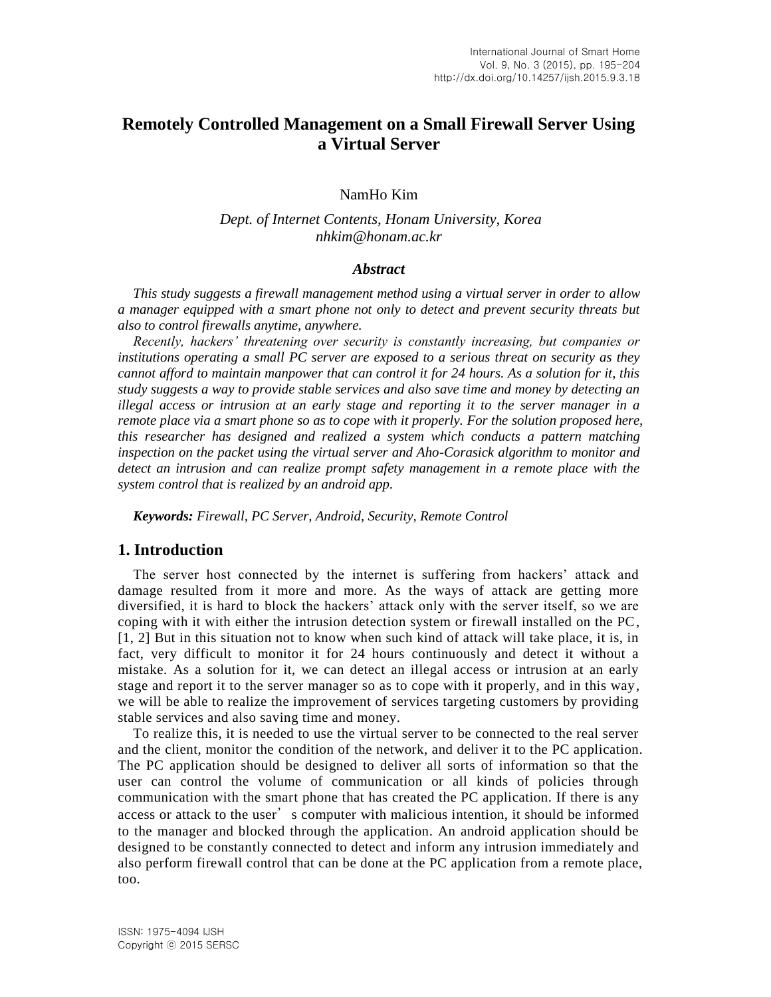# **Remotely Controlled Management on a Small Firewall Server Using a Virtual Server**

NamHo Kim

### *Dept. of Internet Contents, Honam University, Korea nhkim@honam.ac.kr*

#### *Abstract*

*This study suggests a firewall management method using a virtual server in order to allow a manager equipped with a smart phone not only to detect and prevent security threats but also to control firewalls anytime, anywhere.*

*Recently, hackers' threatening over security is constantly increasing, but companies or institutions operating a small PC server are exposed to a serious threat on security as they cannot afford to maintain manpower that can control it for 24 hours. As a solution for it, this study suggests a way to provide stable services and also save time and money by detecting an illegal access or intrusion at an early stage and reporting it to the server manager in a remote place via a smart phone so as to cope with it properly. For the solution proposed here, this researcher has designed and realized a system which conducts a pattern matching inspection on the packet using the virtual server and Aho-Corasick algorithm to monitor and detect an intrusion and can realize prompt safety management in a remote place with the system control that is realized by an android app.*

*Keywords: Firewall, PC Server, Android, Security, Remote Control*

### **1. Introduction**

The server host connected by the internet is suffering from hackers' attack and damage resulted from it more and more. As the ways of attack are getting more diversified, it is hard to block the hackers' attack only with the server itself, so we are coping with it with either the intrusion detection system or firewall installed on the PC, [1, 2] But in this situation not to know when such kind of attack will take place, it is, in fact, very difficult to monitor it for 24 hours continuously and detect it without a mistake. As a solution for it, we can detect an illegal access or intrusion at an early stage and report it to the server manager so as to cope with it properly, and in this way, we will be able to realize the improvement of services targeting customers by providing stable services and also saving time and money.

To realize this, it is needed to use the virtual server to be connected to the real server and the client, monitor the condition of the network, and deliver it to the PC application. The PC application should be designed to deliver all sorts of information so that the user can control the volume of communication or all kinds of policies through communication with the smart phone that has created the PC application. If there is any access or attack to the user<sup>'</sup> s computer with malicious intention, it should be informed to the manager and blocked through the application. An android application should be designed to be constantly connected to detect and inform any intrusion immediately and also perform firewall control that can be done at the PC application from a remote place, too.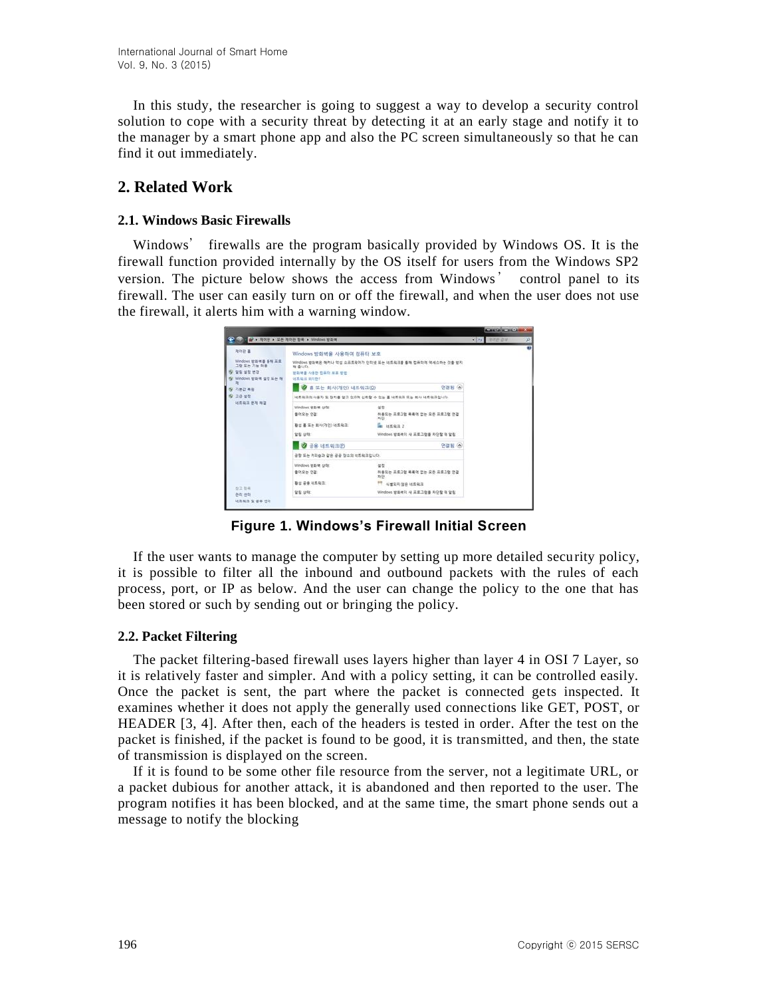In this study, the researcher is going to suggest a way to develop a security control solution to cope with a security threat by detecting it at an early stage and notify it to the manager by a smart phone app and also the PC screen simultaneously so that he can find it out immediately.

## **2. Related Work**

#### **2.1. Windows Basic Firewalls**

Windows' firewalls are the program basically provided by Windows OS. It is the firewall function provided internally by the OS itself for users from the Windows SP2 version. The picture below shows the access from Windows' control panel to its firewall. The user can easily turn on or off the firewall, and when the user does not use the firewall, it alerts him with a warning window.

|                                                                                    |                                                                       |                                                                                             | <b>MURRIAGE HATE</b> |          |
|------------------------------------------------------------------------------------|-----------------------------------------------------------------------|---------------------------------------------------------------------------------------------|----------------------|----------|
| USE of a ROB + 25 ROB BR + Windows EDR                                             |                                                                       |                                                                                             | <b>CLASS NATE ON</b> | $\omega$ |
| 제이판 홈<br>Windows 방화액을 통해 프로<br>그럼 모든 기능 허용<br>및 알릴 설정 변경<br>By Windows 방화벽 설정 또는 해 | Windows 방화병을 사용하여 컴퓨터 보호<br>a out.<br>평화책을 사용한 컴퓨터 보표 방법<br>河里和三 自力한门 | Vilndows 방화력은 해커나 약성 소프트웨어가 인터넷 도는 네트워크를 통해 컴퓨터에 역세스타는 것을 받지                                |                      | σ        |
| S 기본간 복용                                                                           | ● 홈 또는 회사(개인) 네트워크(D)                                                 |                                                                                             |                      |          |
| <b>图 公益 保险</b>                                                                     |                                                                       | 냉토픽크의 사용자 및 장치를 얻고 인도대 선호할 수 없는 홈 내트워크 또는 회사 내트워크입니다.                                       |                      |          |
| 过度能量 保地 梅酒                                                                         | Windows 世系第 Office<br>들어오는 연결                                         | 量数<br>허용되는 프로그램 목록에 받는 모든 프로그램 연결<br>类量                                                     |                      |          |
|                                                                                    | 取位 基 采州 即从(769) 地显动压<br>말할 상태:                                        | B 地系数法 2<br>Windows 방화액이 새 프로그램을 차단할 때 알림                                                   |                      |          |
|                                                                                    | 공용 네트워크(2)<br>ø                                                       | 연결됨 (6)                                                                                     |                      |          |
|                                                                                    | 공항 또는 커피숍과 같은 공공 장소의 네트워크입니다.                                         |                                                                                             |                      |          |
| 位立型場                                                                               | Windows 방화액 상태<br>출어오는 연결<br>日体 安全 计系统<br>말할 상태:                      | 架装<br>허용되는 프로그램 복목에 없는 모든 프로그램 연결<br>お店<br>T NERRI SE MERS<br>Windows 방화벽이 새 표로그램을 차단할 때 알림 |                      |          |
| 관리 관리<br>내트워크 및 공유 센터                                                              |                                                                       |                                                                                             |                      |          |

**Figure 1. Windows's Firewall Initial Screen**

If the user wants to manage the computer by setting up more detailed security policy, it is possible to filter all the inbound and outbound packets with the rules of each process, port, or IP as below. And the user can change the policy to the one that has been stored or such by sending out or bringing the policy.

### **2.2. Packet Filtering**

The packet filtering-based firewall uses layers higher than layer 4 in OSI 7 Layer, so it is relatively faster and simpler. And with a policy setting, it can be controlled easily. Once the packet is sent, the part where the packet is connected gets inspected. It examines whether it does not apply the generally used connections like GET, POST, or HEADER [3, 4]. After then, each of the headers is tested in order. After the test on the packet is finished, if the packet is found to be good, it is transmitted, and then, the state of transmission is displayed on the screen.

If it is found to be some other file resource from the server, not a legitimate URL, or a packet dubious for another attack, it is abandoned and then reported to the user. The program notifies it has been blocked, and at the same time, the smart phone sends out a message to notify the blocking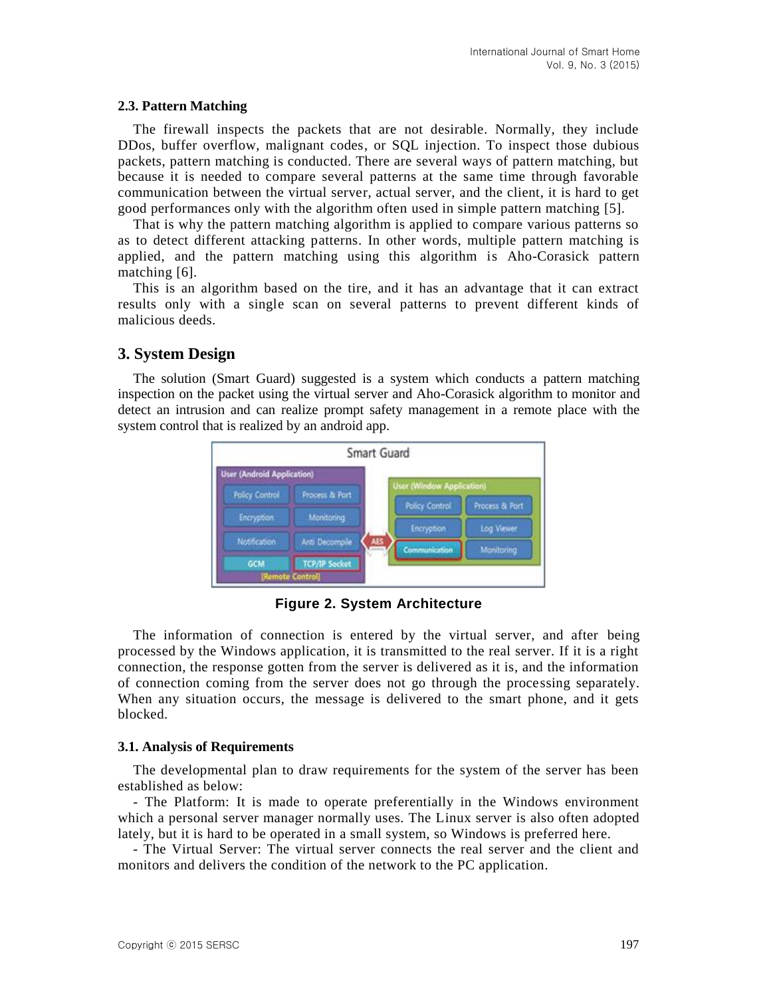#### **2.3. Pattern Matching**

The firewall inspects the packets that are not desirable. Normally, they include DDos, buffer overflow, malignant codes, or SQL injection. To inspect those dubious packets, pattern matching is conducted. There are several ways of pattern matching, but because it is needed to compare several patterns at the same time through favorable communication between the virtual server, actual server, and the client, it is hard to get good performances only with the algorithm often used in simple pattern matching [5].

That is why the pattern matching algorithm is applied to compare various patterns so as to detect different attacking patterns. In other words, multiple pattern matching is applied, and the pattern matching using this algorithm is Aho-Corasick pattern matching [6].

This is an algorithm based on the tire, and it has an advantage that it can extract results only with a single scan on several patterns to prevent different kinds of malicious deeds.

### **3. System Design**

The solution (Smart Guard) suggested is a system which conducts a pattern matching inspection on the packet using the virtual server and Aho-Corasick algorithm to monitor and detect an intrusion and can realize prompt safety management in a remote place with the system control that is realized by an android app.



**Figure 2. System Architecture**

The information of connection is entered by the virtual server, and after being processed by the Windows application, it is transmitted to the real server. If it is a right connection, the response gotten from the server is delivered as it is, and the information of connection coming from the server does not go through the processing separately. When any situation occurs, the message is delivered to the smart phone, and it gets blocked.

#### **3.1. Analysis of Requirements**

The developmental plan to draw requirements for the system of the server has been established as below:

- The Platform: It is made to operate preferentially in the Windows environment which a personal server manager normally uses. The Linux server is also often adopted lately, but it is hard to be operated in a small system, so Windows is preferred here.

- The Virtual Server: The virtual server connects the real server and the client and monitors and delivers the condition of the network to the PC application.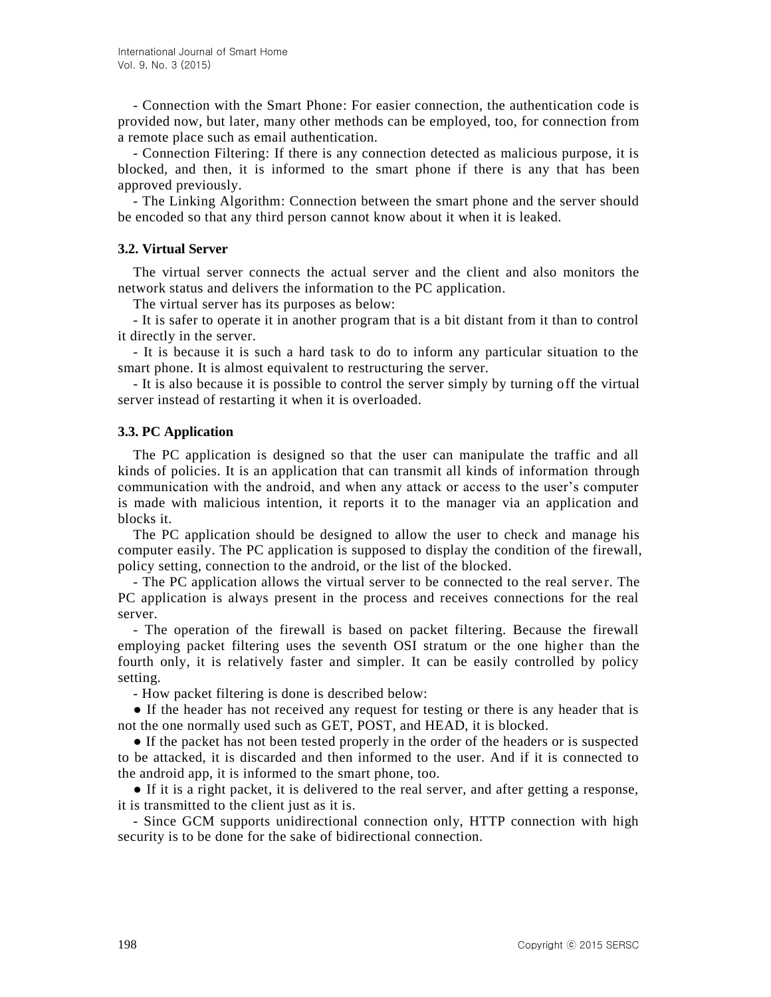- Connection with the Smart Phone: For easier connection, the authentication code is provided now, but later, many other methods can be employed, too, for connection from a remote place such as email authentication.

- Connection Filtering: If there is any connection detected as malicious purpose, it is blocked, and then, it is informed to the smart phone if there is any that has been approved previously.

- The Linking Algorithm: Connection between the smart phone and the server should be encoded so that any third person cannot know about it when it is leaked.

#### **3.2. Virtual Server**

The virtual server connects the actual server and the client and also monitors the network status and delivers the information to the PC application.

The virtual server has its purposes as below:

- It is safer to operate it in another program that is a bit distant from it than to control it directly in the server.

- It is because it is such a hard task to do to inform any particular situation to the smart phone. It is almost equivalent to restructuring the server.

- It is also because it is possible to control the server simply by turning off the virtual server instead of restarting it when it is overloaded.

#### **3.3. PC Application**

The PC application is designed so that the user can manipulate the traffic and all kinds of policies. It is an application that can transmit all kinds of information through communication with the android, and when any attack or access to the user's computer is made with malicious intention, it reports it to the manager via an application and blocks it.

The PC application should be designed to allow the user to check and manage his computer easily. The PC application is supposed to display the condition of the firewall, policy setting, connection to the android, or the list of the blocked.

- The PC application allows the virtual server to be connected to the real server. The PC application is always present in the process and receives connections for the real server.

- The operation of the firewall is based on packet filtering. Because the firewall employing packet filtering uses the seventh OSI stratum or the one higher than the fourth only, it is relatively faster and simpler. It can be easily controlled by policy setting.

- How packet filtering is done is described below:

• If the header has not received any request for testing or there is any header that is not the one normally used such as GET, POST, and HEAD, it is blocked.

● If the packet has not been tested properly in the order of the headers or is suspected to be attacked, it is discarded and then informed to the user. And if it is connected to the android app, it is informed to the smart phone, too.

● If it is a right packet, it is delivered to the real server, and after getting a response, it is transmitted to the client just as it is.

- Since GCM supports unidirectional connection only, HTTP connection with high security is to be done for the sake of bidirectional connection.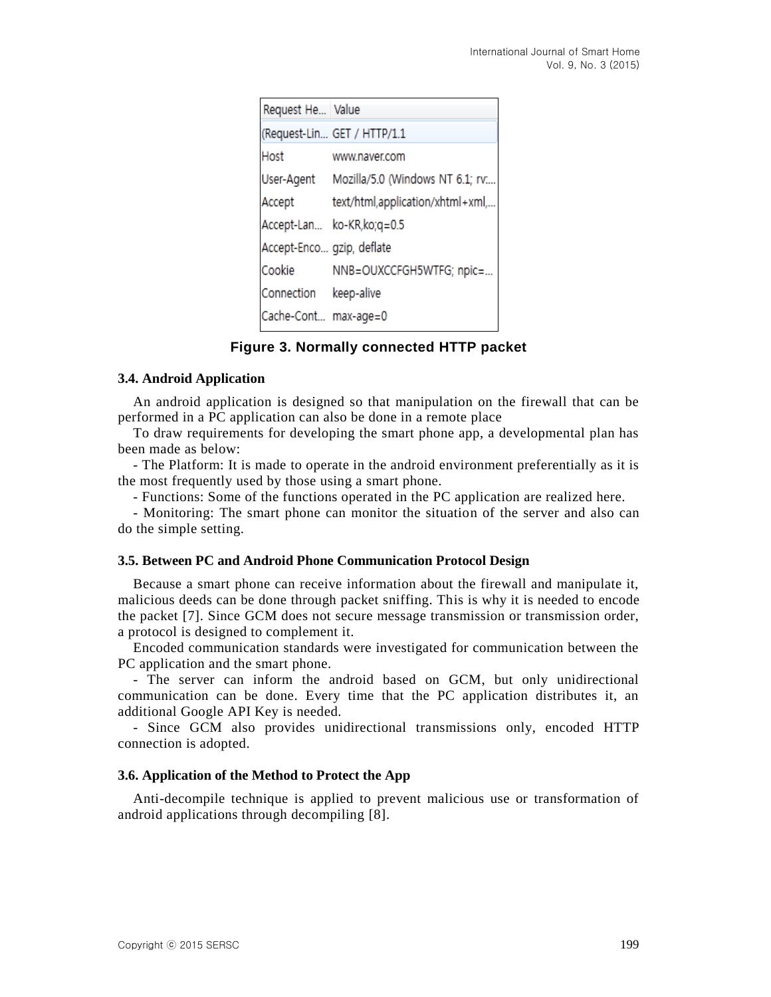| Request He Value          |                                            |
|---------------------------|--------------------------------------------|
|                           | (Request-Lin GET / HTTP/1.1                |
| Host                      | www.naver.com                              |
|                           | User-Agent Mozilla/5.0 (Windows NT 6.1; rv |
|                           | Accept text/html,application/xhtml+xml,    |
|                           | Accept-Lan ko-KR,ko;q=0.5                  |
| Accept-Enco gzip, deflate |                                            |
| Cookie                    | NNB=OUXCCFGH5WTFG; npic=                   |
| Connection keep-alive     |                                            |
| Cache-Cont max-age=0      |                                            |

**Figure 3. Normally connected HTTP packet**

#### **3.4. Android Application**

An android application is designed so that manipulation on the firewall that can be performed in a PC application can also be done in a remote place

To draw requirements for developing the smart phone app, a developmental plan has been made as below:

- The Platform: It is made to operate in the android environment preferentially as it is the most frequently used by those using a smart phone.

- Functions: Some of the functions operated in the PC application are realized here.

- Monitoring: The smart phone can monitor the situation of the server and also can do the simple setting.

#### **3.5. Between PC and Android Phone Communication Protocol Design**

Because a smart phone can receive information about the firewall and manipulate it, malicious deeds can be done through packet sniffing. This is why it is needed to encode the packet [7]. Since GCM does not secure message transmission or transmission order, a protocol is designed to complement it.

Encoded communication standards were investigated for communication between the PC application and the smart phone.

- The server can inform the android based on GCM, but only unidirectional communication can be done. Every time that the PC application distributes it, an additional Google API Key is needed.

- Since GCM also provides unidirectional transmissions only, encoded HTTP connection is adopted.

### **3.6. Application of the Method to Protect the App**

Anti-decompile technique is applied to prevent malicious use or transformation of android applications through decompiling [8].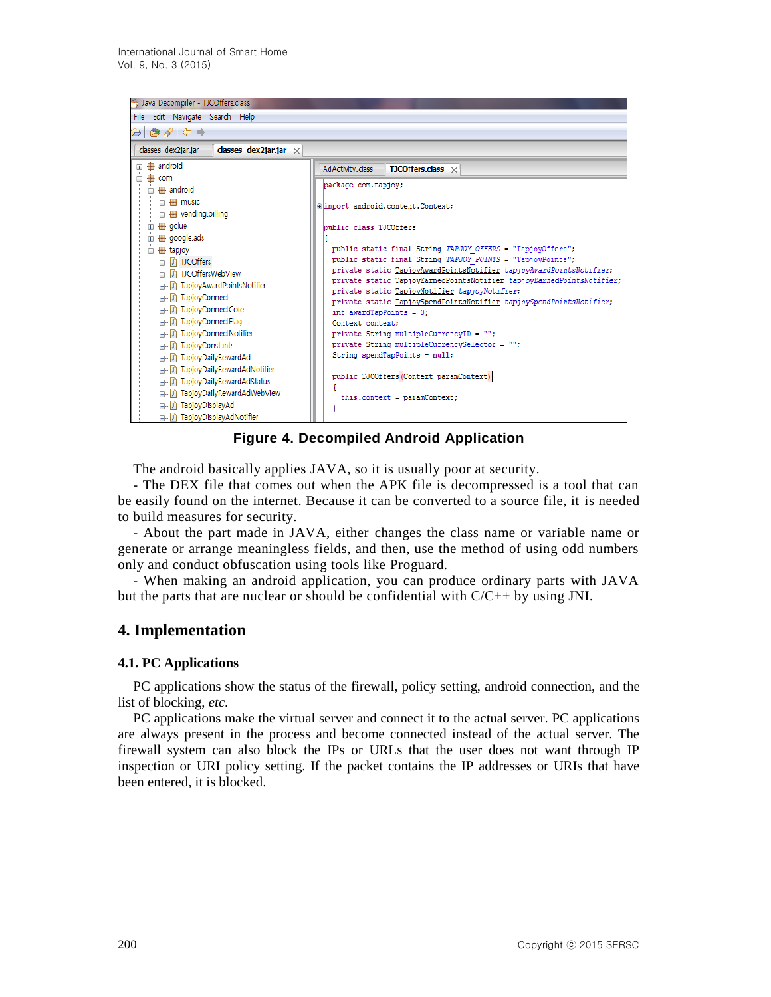

**Figure 4. Decompiled Android Application**

The android basically applies JAVA, so it is usually poor at security.

- The DEX file that comes out when the APK file is decompressed is a tool that can be easily found on the internet. Because it can be converted to a source file, it is needed to build measures for security.

- About the part made in JAVA, either changes the class name or variable name or generate or arrange meaningless fields, and then, use the method of using odd numbers only and conduct obfuscation using tools like Proguard.

- When making an android application, you can produce ordinary parts with JAVA but the parts that are nuclear or should be confidential with  $C/C++$  by using JNI.

## **4. Implementation**

### **4.1. PC Applications**

PC applications show the status of the firewall, policy setting, android connection, and the list of blocking, *etc.*

PC applications make the virtual server and connect it to the actual server. PC applications are always present in the process and become connected instead of the actual server. The firewall system can also block the IPs or URLs that the user does not want through IP inspection or URI policy setting. If the packet contains the IP addresses or URIs that have been entered, it is blocked.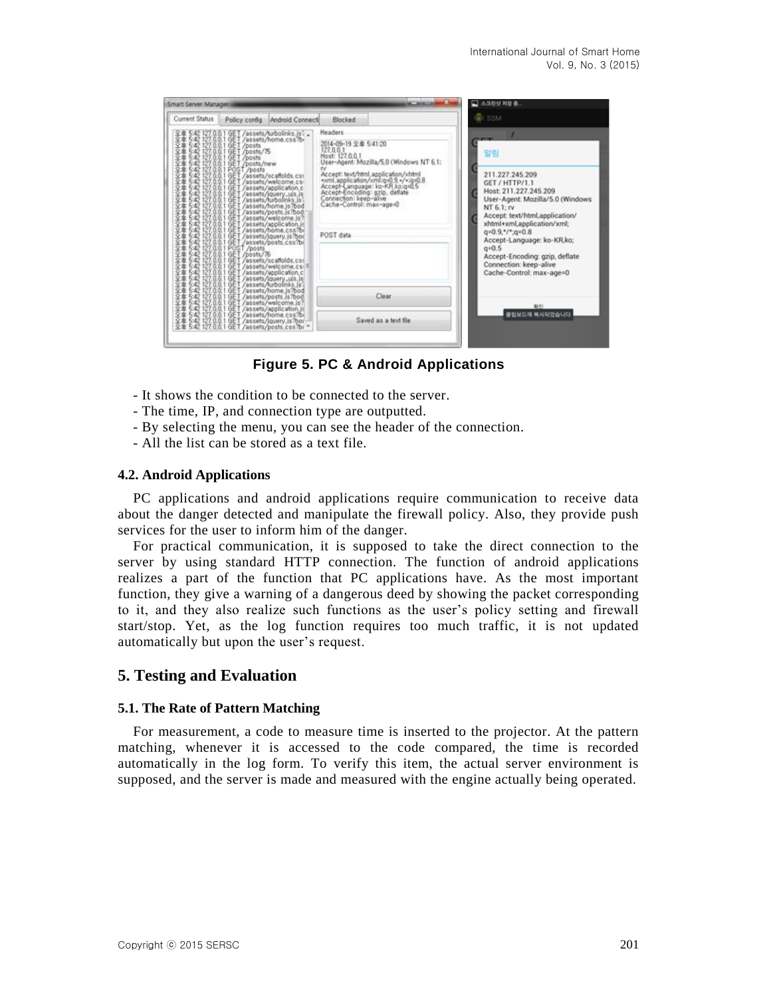| Smart Server Managers                                                                                                                                                                                                                                                     |                                                                                                                                                                             |                                                                                                                                                                       | <b>KC MACHIN</b>                                                                                                                                          | □ 스크린샷 저장 중.                                                                                                                                                                                                                                                                                                                               |  |
|---------------------------------------------------------------------------------------------------------------------------------------------------------------------------------------------------------------------------------------------------------------------------|-----------------------------------------------------------------------------------------------------------------------------------------------------------------------------|-----------------------------------------------------------------------------------------------------------------------------------------------------------------------|-----------------------------------------------------------------------------------------------------------------------------------------------------------|--------------------------------------------------------------------------------------------------------------------------------------------------------------------------------------------------------------------------------------------------------------------------------------------------------------------------------------------|--|
| Current Status<br>Policy config                                                                                                                                                                                                                                           | Android Connecti                                                                                                                                                            | Blocked                                                                                                                                                               |                                                                                                                                                           | <b>G</b> I SSM                                                                                                                                                                                                                                                                                                                             |  |
| 1. 2227.00.1 dg T/assets/hubeling.jst<br>1. 2227.00.1 dg T/assets/hubeling.jst<br>1. 2227.00.1 dg T/assets/hubeling.jst<br>1. 2227.00.1 dg T/assets/hubeling.jst<br>1. 2227.00.1 dg T/assets/hubeling.gs<br>1. 2227.00.1 dg T/assets/hu<br>交革専事<br>999999999<br>999999999 | GET /assets/turbolinis.jsf ,<br>GET /assets/home.css?b=<br>GET /posts<br>GET /posts/?5<br>GET /posts<br>GET /posts<br>POST/nosts<br>POST/nosts<br>PET /assets/scaffolds.cs: | Headers<br>2014-09-19 全章 5:41:20<br>127,0.0.1<br>Most: 127,0.0.1<br>Accept-Encoding: gzip, defiate<br>Connection: keep-alive<br>Cache-Control: max-age=0<br>POST data | User-Agent: Mozilla/5.8 (Windows NT 6.1:<br>Accept: text/html.application/vhtml<br>wml.application/xml/q=0.9.+/=/g=0.8<br>Accept-Language: ko-KR,ko:q=0.5 | 알림<br>211.227.245.209<br>GET / HTTP/1.1<br>Host: 211.227.245.209<br>User-Agent: Mozilla/5.0 (Windows<br>NT 6.1; rv<br>Accept: text/html.application/<br>xhtml+xml,application/xml;<br>$q=0.9,*/*.q=0.8$<br>Accept-Language: ko-KR,ko;<br>$q = 0.5$<br>Accept-Encoding: gzip, deflate<br>Connection: keep-alive<br>Cache-Control: max-age=0 |  |
| 文庫事業<br>文字                                                                                                                                                                                                                                                                | GET /assets/welcome.js/<br>GET /assets/application.jr<br>GET /assets/home.cs/bor<br>GET /assets/jouery.js/bor<br>GET /assets/posts.css /br                                  |                                                                                                                                                                       | Clear<br>Saved as a fext file                                                                                                                             | 40191<br>클립보드에 복사되었습니다.                                                                                                                                                                                                                                                                                                                    |  |

**Figure 5. PC & Android Applications**

- It shows the condition to be connected to the server.
- The time, IP, and connection type are outputted.
- By selecting the menu, you can see the header of the connection.
- All the list can be stored as a text file.

#### **4.2. Android Applications**

PC applications and android applications require communication to receive data about the danger detected and manipulate the firewall policy. Also, they provide push services for the user to inform him of the danger.

For practical communication, it is supposed to take the direct connection to the server by using standard HTTP connection. The function of android applications realizes a part of the function that PC applications have. As the most important function, they give a warning of a dangerous deed by showing the packet corresponding to it, and they also realize such functions as the user's policy setting and firewall start/stop. Yet, as the log function requires too much traffic, it is not updated automatically but upon the user's request.

## **5. Testing and Evaluation**

#### **5.1. The Rate of Pattern Matching**

For measurement, a code to measure time is inserted to the projector. At the pattern matching, whenever it is accessed to the code compared, the time is recorded automatically in the log form. To verify this item, the actual server environment is supposed, and the server is made and measured with the engine actually being operated.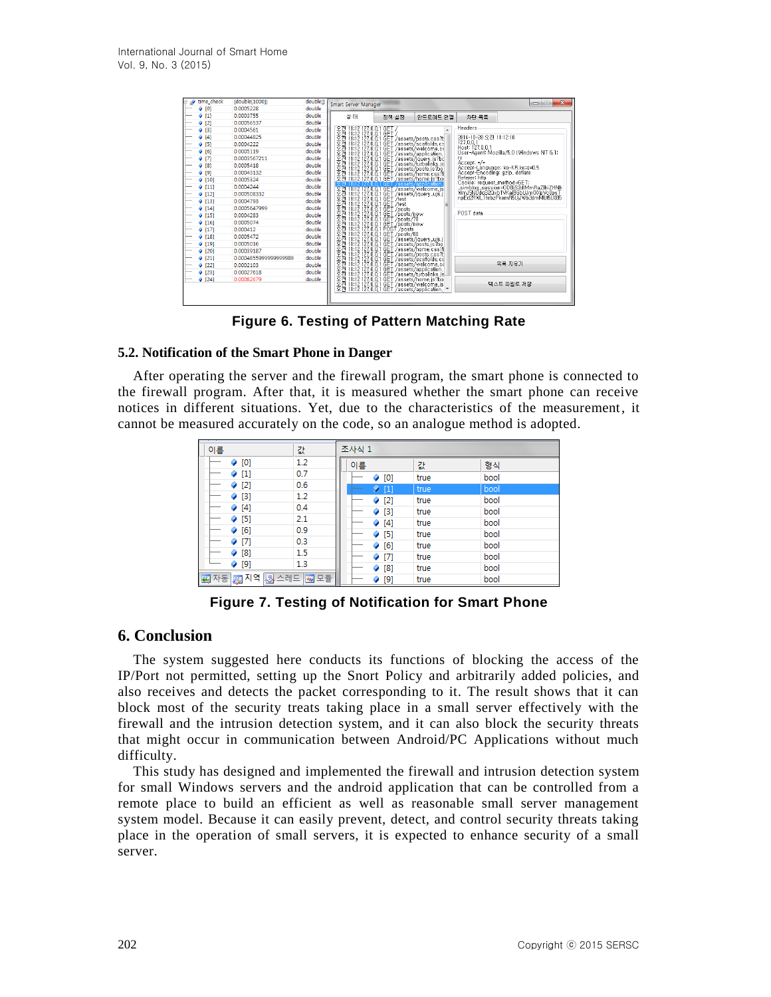| time_check | {double[1000]}        | double[] | Smart Server Manager |       |       |                                                                                                                                                                                                                                                                                                |                                 | $\mathbf{x}$<br>D                                                                                                                               |
|------------|-----------------------|----------|----------------------|-------|-------|------------------------------------------------------------------------------------------------------------------------------------------------------------------------------------------------------------------------------------------------------------------------------------------------|---------------------------------|-------------------------------------------------------------------------------------------------------------------------------------------------|
| [0]        | 0.0005228             | double   |                      |       |       |                                                                                                                                                                                                                                                                                                |                                 |                                                                                                                                                 |
| 9[1]       | 0.0003755             | double   | 상태                   |       | 정책 설정 | 안드로이드 연결                                                                                                                                                                                                                                                                                       | 차단 목록                           |                                                                                                                                                 |
| [2]        | 0.00056537            | double   |                      |       |       |                                                                                                                                                                                                                                                                                                |                                 |                                                                                                                                                 |
| (3)        | 0.0004561             | double   |                      |       |       |                                                                                                                                                                                                                                                                                                | Headers                         |                                                                                                                                                 |
| $[4]$      | 0.00044825            | double   |                      |       |       |                                                                                                                                                                                                                                                                                                | 2014-10-28 오전 11:12:18          |                                                                                                                                                 |
| (5)        | 0.0004222             | double   | <b>KAKAKAKAKAKA</b>  |       |       | $\left[\begin{smallmatrix} 1112 & 272 & 0.01 & 664 \\ 1112 & 272 & 0.01 & 664 \\ 1112 & 272 & 0.01 & 664 \\ 1112 & 272 & 0.01 & 664 \\ 1112 & 272 & 0.01 & 664 \\ 1112 & 272 & 0.01 & 664 \\ 1112 & 272 & 0.01 & 664 \\ 1112 & 272 & 0.01 & 664 \\ 1112 & 272 & 0.01 & 664 \\ 1112 & 272 & 0.$ | 127.0.0.1<br>Host: 127, 0, 0, 1 |                                                                                                                                                 |
| [6]<br>۰   | 0.0005119             | double   |                      |       |       |                                                                                                                                                                                                                                                                                                |                                 | User-Agent: Mozilla/5,0 (Windows NT 6,1:                                                                                                        |
| 9[7]       | 0.0003567211          | double   |                      |       |       |                                                                                                                                                                                                                                                                                                | rv.                             |                                                                                                                                                 |
| 9[8]       | 0.0005418             | double   |                      |       |       |                                                                                                                                                                                                                                                                                                | Accept: $\star/\star$           | Accept-Language: ko-KR,ko:q=0,5                                                                                                                 |
| 9[9]       | 0.00043132            | double   |                      |       |       |                                                                                                                                                                                                                                                                                                | Accept-Encoding: gzip, deflate  |                                                                                                                                                 |
| (10)       | 0.0005324             | double   |                      |       |       |                                                                                                                                                                                                                                                                                                |                                 |                                                                                                                                                 |
| 9[11]      | 0.0004244             | double   |                      | - GET |       |                                                                                                                                                                                                                                                                                                |                                 | Cookie: request_method=GET;<br>_simblog_session=ODBJS2dMmRaZIhiZHNh<br>wmJ5NUdqS20xb1VKai9GbUJmOXpVc0psT<br>npEd2RWL1hrbzFkemR5UjJWb3dmMUt5U085 |
| (12)       | 0.000508332           | double   |                      |       |       |                                                                                                                                                                                                                                                                                                |                                 |                                                                                                                                                 |
| 9[13]      | 0.0004793             | double   |                      |       |       |                                                                                                                                                                                                                                                                                                |                                 |                                                                                                                                                 |
| (14)       | 0.0005647999          | double   |                      |       |       |                                                                                                                                                                                                                                                                                                |                                 |                                                                                                                                                 |
| (15)       | 0.0004283             | double   |                      |       |       |                                                                                                                                                                                                                                                                                                | POST data                       |                                                                                                                                                 |
| (16)       | 0.0005074             | double   |                      |       |       |                                                                                                                                                                                                                                                                                                |                                 |                                                                                                                                                 |
| 9[17]      | 0.000412              | double   |                      |       |       |                                                                                                                                                                                                                                                                                                |                                 |                                                                                                                                                 |
| 9[18]      | 0.0005472             | double   |                      |       |       |                                                                                                                                                                                                                                                                                                |                                 |                                                                                                                                                 |
| (19)       | 0.0005016             | double   |                      |       |       |                                                                                                                                                                                                                                                                                                |                                 |                                                                                                                                                 |
| $[20]$     | 0.00039187            | double   |                      |       |       |                                                                                                                                                                                                                                                                                                |                                 |                                                                                                                                                 |
| [21]       | 0.0004855999999999989 | double   |                      |       |       |                                                                                                                                                                                                                                                                                                |                                 |                                                                                                                                                 |
| $[22]$     | 0.0002103             | double   |                      |       |       |                                                                                                                                                                                                                                                                                                |                                 | 목록 지우기                                                                                                                                          |
| (23)       | 0.00027618            | double   |                      |       |       |                                                                                                                                                                                                                                                                                                |                                 |                                                                                                                                                 |
| 9 [24]     | 0.00082679            | double   |                      |       |       |                                                                                                                                                                                                                                                                                                |                                 |                                                                                                                                                 |
|            |                       |          | 医氏环丙丙丙丙丙丙丙丙丙丙丙丙丙丙丙丙  |       |       |                                                                                                                                                                                                                                                                                                |                                 | 텍스트 파일로 저장                                                                                                                                      |

**Figure 6. Testing of Pattern Matching Rate**

### **5.2. Notification of the Smart Phone in Danger**

After operating the server and the firewall program, the smart phone is connected to the firewall program. After that, it is measured whether the smart phone can receive notices in different situations. Yet, due to the characteristics of the measurement, it cannot be measured accurately on the code, so an analogue method is adopted.

| 이름                                                 | 걊   | 조사식 1 |            |      |      |  |  |  |
|----------------------------------------------------|-----|-------|------------|------|------|--|--|--|
| [0]<br>۰                                           | 1.2 | 이름    |            | 걊    | 형식   |  |  |  |
| o                                                  | 0.7 |       | [0]<br>۰   | true | bool |  |  |  |
| $[2]$<br>◒                                         | 0.6 |       | $Q$ [1]    | true | bool |  |  |  |
| $[3]$<br>0                                         | 1.2 |       | (2)        | true | bool |  |  |  |
| $[4]$                                              | 0.4 |       | (3)        | true | bool |  |  |  |
| (5)                                                | 2.1 |       | (4)        | true | bool |  |  |  |
| [6]<br>$\bullet$                                   | 0.9 |       | (5)        | true | bool |  |  |  |
| [7]<br>9                                           | 0.3 |       | (6)        | true | bool |  |  |  |
| $^{[8]}$<br>o                                      | 1.5 |       | $[7]$<br>a | true | bool |  |  |  |
| $[9]$                                              | 1.3 |       | [8]<br>o   | true | bool |  |  |  |
| ■ 자동 <mark>5</mark> 지역 <mark>- 지수 리드   3</mark> 모듈 |     |       | $[9]$      | true | bool |  |  |  |

**Figure 7. Testing of Notification for Smart Phone**

## **6. Conclusion**

The system suggested here conducts its functions of blocking the access of the IP/Port not permitted, setting up the Snort Policy and arbitrarily added policies, and also receives and detects the packet corresponding to it. The result shows that it can block most of the security treats taking place in a small server effectively with the firewall and the intrusion detection system, and it can also block the security threats that might occur in communication between Android/PC Applications without much difficulty.

This study has designed and implemented the firewall and intrusion detection system for small Windows servers and the android application that can be controlled from a remote place to build an efficient as well as reasonable small server management system model. Because it can easily prevent, detect, and control security threats taking place in the operation of small servers, it is expected to enhance security of a small server.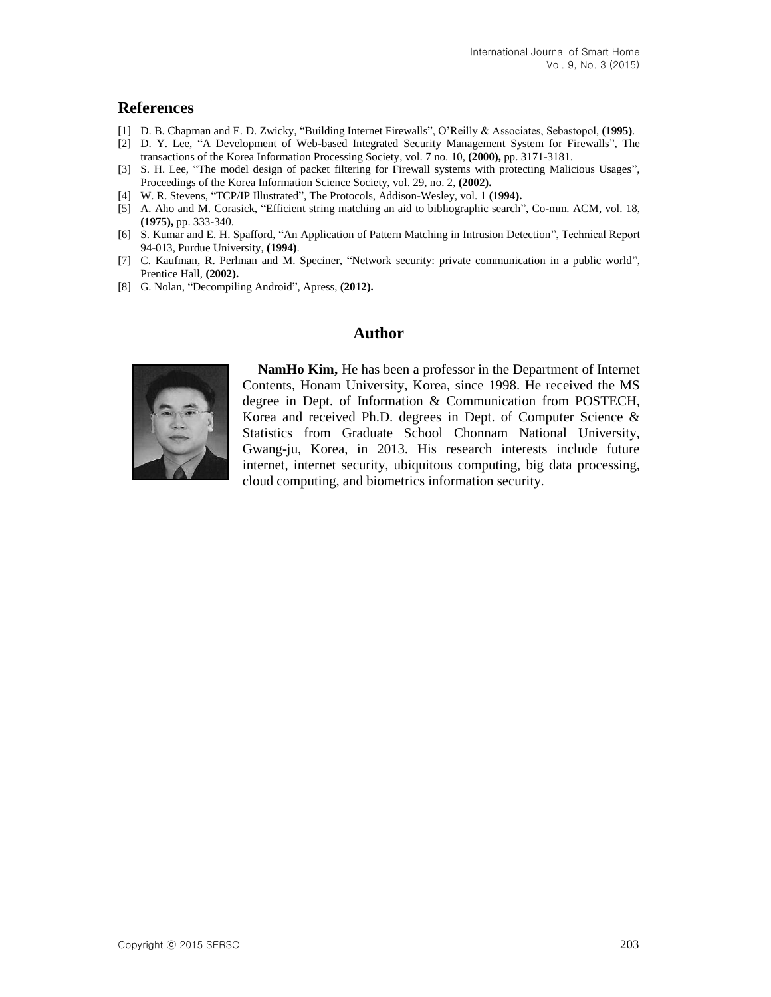### **References**

- [1] D. B. Chapman and E. D. Zwicky, "Building Internet Firewalls", O'Reilly & Associates, Sebastopol, **(1995)**.
- [2] D. Y. Lee, "A Development of Web-based Integrated Security Management System for Firewalls", The transactions of the Korea Information Processing Society, vol. 7 no. 10, **(2000),** pp. 3171-3181.
- [3] S. H. Lee, "The model design of packet filtering for Firewall systems with protecting Malicious Usages", Proceedings of the Korea Information Science Society, vol. 29, no. 2, **(2002).**
- [4] W. R. Stevens, "TCP/IP Illustrated", The Protocols, Addison-Wesley, vol. 1 **(1994).**
- [5] A. Aho and M. Corasick, "Efficient string matching an aid to bibliographic search", Co-mm. ACM, vol. 18, **(1975),** pp. 333-340.
- [6] S. Kumar and E. H. Spafford, "An Application of Pattern Matching in Intrusion Detection", Technical Report 94-013, Purdue University, **(1994)**.
- [7] C. Kaufman, R. Perlman and M. Speciner, "Network security: private communication in a public world", Prentice Hall, **(2002).**
- [8] G. Nolan, "Decompiling Android", Apress, **(2012).**

## **Author**



**NamHo Kim,** He has been a professor in the Department of Internet Contents, Honam University, Korea, since 1998. He received the MS degree in Dept. of Information & Communication from POSTECH, Korea and received Ph.D. degrees in Dept. of Computer Science & Statistics from Graduate School Chonnam National University, Gwang-ju, Korea, in 2013. His research interests include future internet, internet security, ubiquitous computing, big data processing, cloud computing, and biometrics information security.